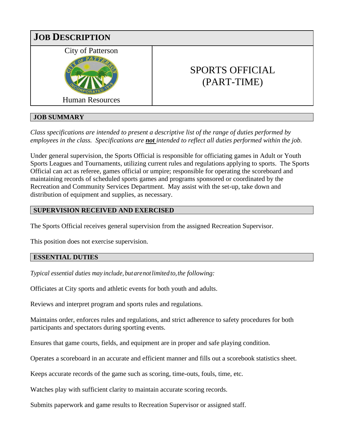

# **JOB SUMMARY**

*Class specifications are intended to present a descriptive list of the range of duties performed by employees in the class. Specifications are not intended to reflect all duties performed within the job.*

Under general supervision, the Sports Official is responsible for officiating games in Adult or Youth Sports Leagues and Tournaments, utilizing current rules and regulations applying to sports. The Sports Official can act as referee, games official or umpire; responsible for operating the scoreboard and maintaining records of scheduled sports games and programs sponsored or coordinated by the Recreation and Community Services Department. May assist with the set-up, take down and distribution of equipment and supplies, as necessary.

# **SUPERVISION RECEIVED AND EXERCISED**

The Sports Official receives general supervision from the assigned Recreation Supervisor.

This position does not exercise supervision.

## **ESSENTIAL DUTIES**

*Typical essential duties may include, but are not limited to, the following:* 

Officiates at City sports and athletic events for both youth and adults.

Reviews and interpret program and sports rules and regulations.

Maintains order, enforces rules and regulations, and strict adherence to safety procedures for both participants and spectators during sporting events.

Ensures that game courts, fields, and equipment are in proper and safe playing condition.

Operates a scoreboard in an accurate and efficient manner and fills out a scorebook statistics sheet.

Keeps accurate records of the game such as scoring, time-outs, fouls, time, etc.

Watches play with sufficient clarity to maintain accurate scoring records.

Submits paperwork and game results to Recreation Supervisor or assigned staff.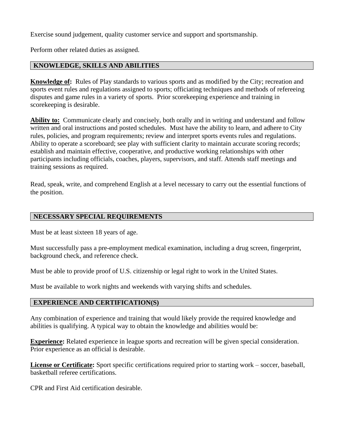Exercise sound judgement, quality customer service and support and sportsmanship.

Perform other related duties as assigned.

## **KNOWLEDGE, SKILLS AND ABILITIES**

**Knowledge of:** Rules of Play standards to various sports and as modified by the City; recreation and sports event rules and regulations assigned to sports; officiating techniques and methods of refereeing disputes and game rules in a variety of sports. Prior scorekeeping experience and training in scorekeeping is desirable.

**Ability to:** Communicate clearly and concisely, both orally and in writing and understand and follow written and oral instructions and posted schedules. Must have the ability to learn, and adhere to City rules, policies, and program requirements; review and interpret sports events rules and regulations. Ability to operate a scoreboard; see play with sufficient clarity to maintain accurate scoring records; establish and maintain effective, cooperative, and productive working relationships with other participants including officials, coaches, players, supervisors, and staff. Attends staff meetings and training sessions as required.

Read, speak, write, and comprehend English at a level necessary to carry out the essential functions of the position.

## **NECESSARY SPECIAL REQUIREMENTS**

Must be at least sixteen 18 years of age.

Must successfully pass a pre-employment medical examination, including a drug screen, fingerprint, background check, and reference check.

Must be able to provide proof of U.S. citizenship or legal right to work in the United States.

Must be available to work nights and weekends with varying shifts and schedules.

## **EXPERIENCE AND CERTIFICATION(S)**

Any combination of experience and training that would likely provide the required knowledge and abilities is qualifying. A typical way to obtain the knowledge and abilities would be:

**Experience:** Related experience in league sports and recreation will be given special consideration. Prior experience as an official is desirable.

**License or Certificate:** Sport specific certifications required prior to starting work – soccer, baseball, basketball referee certifications.

CPR and First Aid certification desirable.